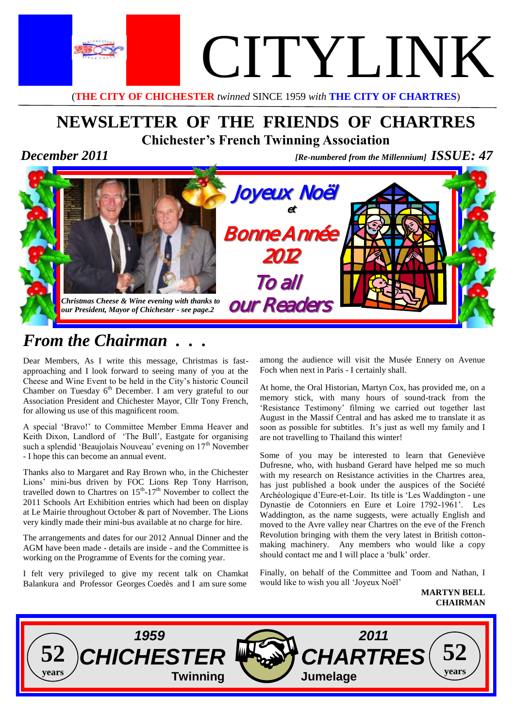

(**THE CITY OF CHICHESTER** *twinned* SINCE 1959 *with* **THE CITY OF CHARTRES**)

# **NEWSLETTER OF THE FRIENDS OF CHARTRES Chichester's French Twinning Association**

*December 2011 [Re-numbered from the Millennium] ISSUE: 47* 



# *From the Chairman . . .*

Dear Members, As I write this message, Christmas is fastapproaching and I look forward to seeing many of you at the Cheese and Wine Event to be held in the City's historic Council Chamber on Tuesday  $6<sup>th</sup>$  December. I am very grateful to our Association President and Chichester Mayor, Cllr Tony French, for allowing us use of this magnificent room.

A special 'Bravo!' to Committee Member Emma Heaver and Keith Dixon, Landlord of 'The Bull', Eastgate for organising such a splendid 'Beaujolais Nouveau' evening on 17<sup>th</sup> November - I hope this can become an annual event.

Thanks also to Margaret and Ray Brown who, in the Chichester Lions' mini-bus driven by FOC Lions Rep Tony Harrison, travelled down to Chartres on  $15<sup>th</sup>$ -17<sup>th</sup> November to collect the 2011 Schools Art Exhibition entries which had been on display at Le Mairie throughout October & part of November. The Lions very kindly made their mini-bus available at no charge for hire.

The arrangements and dates for our 2012 Annual Dinner and the AGM have been made - details are inside - and the Committee is working on the Programme of Events for the coming year.

I felt very privileged to give my recent talk on Chamkat Balankura and Professor Georges Coedès and I am sure some

among the audience will visit the Musée Ennery on Avenue Foch when next in Paris - I certainly shall.

At home, the Oral Historian, Martyn Cox, has provided me, on a memory stick, with many hours of sound-track from the 'Resistance Testimony' filming we carried out together last August in the Massif Central and has asked me to translate it as soon as possible for subtitles. It's just as well my family and I are not travelling to Thailand this winter!

Some of you may be interested to learn that Geneviève Dufresne, who, with husband Gerard have helped me so much with my research on Resistance activities in the Chartres area, has just published a book under the auspices of the Société Archéologique d'Eure-et-Loir. Its title is 'Les Waddington - une Dynastie de Cotonniers en Eure et Loire 1792-1961'. Les Waddington, as the name suggests, were actually English and moved to the Avre valley near Chartres on the eve of the French Revolution bringing with them the very latest in British cottonmaking machinery. Any members who would like a copy should contact me and I will place a 'bulk' order.

Finally, on behalf of the Committee and Toom and Nathan, I would like to wish you all 'Joyeux Noël'

**MARTYN BELL CHAIRMAN**

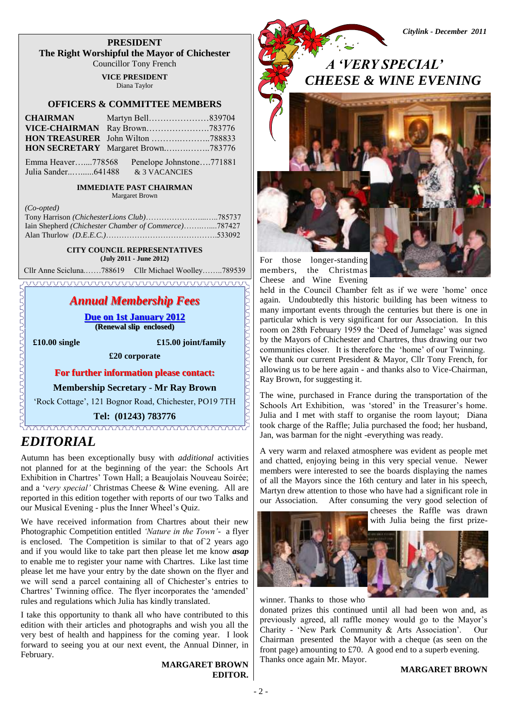**PRESIDENT The Right Worshipful the Mayor of Chichester** Councillor Tony French

**VICE PRESIDENT**

Diana Taylor

#### **OFFICERS & COMMITTEE MEMBERS**

| <b>CHAIRMAN</b> | Martyn Bell839704                  |
|-----------------|------------------------------------|
|                 |                                    |
|                 |                                    |
|                 | HON SECRETARY Margaret Brown783776 |

 Emma Heaver…....778568 Penelope Johnstone….771881 Julia Sander..…......641488 & 3 VACANCIES

#### **IMMEDIATE PAST CHAIRMAN**

Margaret Brown

| $\cup$ <i>v</i> - <i>v</i> $\nu$ $\alpha$            |  |
|------------------------------------------------------|--|
|                                                      |  |
| Iain Shepherd (Chichester Chamber of Commerce)787427 |  |
|                                                      |  |

**CITY COUNCIL REPRESENTATIVES**

**(July 2011 - June 2012)**

Cllr Anne Scicluna.……788619 Cllr Michael Woolley……..789539

### *Annual Membership Fees*

**Due on 1st January 2012 (Renewal slip enclosed)**

*(Co-opted)* 

 **£10.00 single £15.00 joint/family**

**£20 corporate**

**For further information please contact:**

**Membership Secretary - Mr Ray Brown**

'Rock Cottage', 121 Bognor Road, Chichester, PO19 7TH

**Tel: (01243) 783776**

### *EDITORIAL*

Autumn has been exceptionally busy with *additional* activities not planned for at the beginning of the year: the Schools Art Exhibition in Chartres' Town Hall; a Beaujolais Nouveau Soirée; and a 'v*ery special'* Christmas Cheese & Wine evening. All are reported in this edition together with reports of our two Talks and our Musical Evening - plus the Inner Wheel's Quiz.

We have received information from Chartres about their new Photographic Competition entitled *'Nature in the Town'*- a flyer is enclosed. The Competition is similar to that of 2 years ago and if you would like to take part then please let me know *asap* to enable me to register your name with Chartres. Like last time please let me have your entry by the date shown on the flyer and we will send a parcel containing all of Chichester's entries to Chartres' Twinning office. The flyer incorporates the 'amended' rules and regulations which Julia has kindly translated.

I take this opportunity to thank all who have contributed to this edition with their articles and photographs and wish you all the very best of health and happiness for the coming year. I look forward to seeing you at our next event, the Annual Dinner, in February.

**MARGARET BROWN EDITOR.**

*A 'VERY SPECIAL' CHEESE & WINE EVENING*

*Citylink - December 2011*



members, the Christmas Cheese and Wine Evening



held in the Council Chamber felt as if we were 'home' once again. Undoubtedly this historic building has been witness to many important events through the centuries but there is one in particular which is very significant for our Association. In this room on 28th February 1959 the 'Deed of Jumelage' was signed by the Mayors of Chichester and Chartres, thus drawing our two communities closer. It is therefore the 'home' of our Twinning. We thank our current President & Mayor, Cllr Tony French, for allowing us to be here again - and thanks also to Vice-Chairman, Ray Brown, for suggesting it.

The wine, purchased in France during the transportation of the Schools Art Exhibition, was 'stored' in the Treasurer's home. Julia and I met with staff to organise the room layout; Diana took charge of the Raffle; Julia purchased the food; her husband, Jan, was barman for the night -everything was ready.

A very warm and relaxed atmosphere was evident as people met and chatted, enjoying being in this very special venue. Newer members were interested to see the boards displaying the names of all the Mayors since the 16th century and later in his speech, Martyn drew attention to those who have had a significant role in our Association. After consuming the very good selection of

cheeses the Raffle was drawn with Julia being the first prize-



winner. Thanks to those who

donated prizes this continued until all had been won and, as previously agreed, all raffle money would go to the Mayor's Charity - 'New Park Community & Arts Association'. Our Chairman presented the Mayor with a cheque (as seen on the front page) amounting to £70. A good end to a superb evening. Thanks once again Mr. Mayor.

#### **MARGARET BROWN**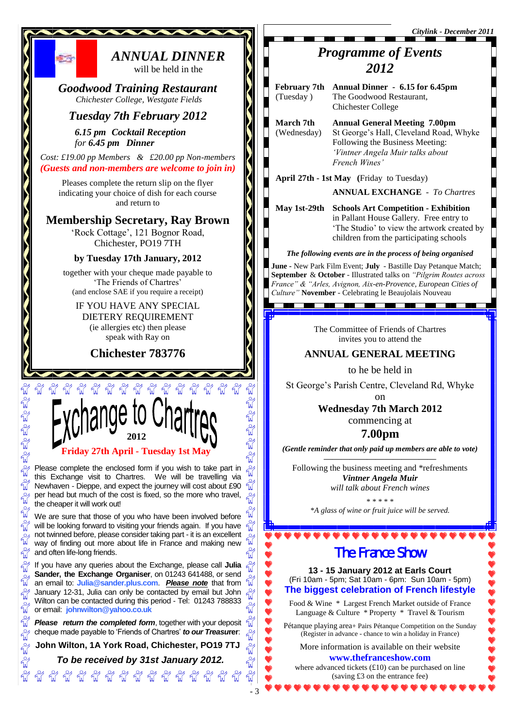*Citylink - December 2011*

## *Programme of Events 2012*

 **February 7th Annual Dinner - 6.15 for 6.45pm** (Tuesday ) The Goodwood Restaurant, Chichester College

 **March 7th Annual General Meeting 7.00pm** (Wednesday) St George's Hall, Cleveland Road, Whyke Following the Business Meeting: *'Vintner Angela Muir talks about French Wines'*

 **April 27th - 1st May (**Friday to Tuesday)

**ANNUAL EXCHANGE** - *To Chartres*

 **May 1st-29th Schools Art Competition - Exhibition**  in Pallant House Gallery. Free entry to 'The Studio' to view the artwork created by children from the participating schools

#### *The following events are in the process of being organised*

**June -** New Park Film Event; **July** - Bastille Day Petanque Match; **September** & **October** - Illustrated talks on *"Pilgrim Routes across France" & "Arles, Avignon, Aix-en-Provence, European Cities of Culture"* **November** - Celebrating le Beaujolais Nouveau

> The Committee of Friends of Chartres invites you to attend the

<u> La Barat de la Barat de la Barat de la Barat de la Barat de la Barat de la Barat de la Barat de la Barat de la</u>

#### **ANNUAL GENERAL MEETING**

to he be held in

St George's Parish Centre, Cleveland Rd, Whyke

on

**Wednesday 7th March 2012** commencing at **7.00pm**

*(Gentle reminder that only paid up members are able to vote)*

*—————————————* Following the business meeting and \*refreshments *Vintner Angela Muir will talk about French wines*

> \* \* \* \* \* *\*A glass of wine or fruit juice will be served.*

> > $\bullet\bullet\bullet\bullet\bullet$

# The France Show

**13 - 15 January 2012 at Earls Court** (Fri 10am - 5pm; Sat 10am - 6pm: Sun 10am - 5pm) **The biggest celebration of French lifestyle**

Food & Wine \* Largest French Market outside of France Language & Culture \* Property \* Travel & Tourism

Pétanque playing area+ Pairs Pétanque Competition on the Sunday (Register in advance - chance to win a holiday in France)

More information is available on their website **www.thefranceshow.com** 

where advanced tickets (£10) can be purchased on line (saving £3 on the entrance fee)

will be held in the

*ANNUAL DINNER*

*Goodwood Training Restaurant Chichester College, Westgate Fields*

### *Tuesday 7th February 2012*

*6.15 pm Cocktail Reception for 6.45 pm Dinner* 

航空

*Cost: £19.00 pp Members & £20.00 pp Non-members (Guests and non-members are welcome to join in)*

Pleases complete the return slip on the flyer indicating your choice of dish for each course and return to

### **Membership Secretary, Ray Brown**

'Rock Cottage', 121 Bognor Road, Chichester, PO19 7TH

#### **by Tuesday 17th January, 2012**

together with your cheque made payable to 'The Friends of Chartres' (and enclose SAE if you require a receipt)

#### IF YOU HAVE ANY SPECIAL

DIETERY REQUIREMENT (ie allergies etc) then please speak with Ray on

**Chichester 783776**



 $\begin{aligned} \mathbb{E}[\mathbf{0} & \mathbb{E}[\mathbf{0} \; \mathbb{E}[\mathbf{0} \; \mathbb{E}[\mathbf{0} \; \mathbb{E}[\mathbf{0} \; \mathbb{E}[\mathbf{0} \; \mathbb{E}[\mathbf{0} \; \mathbb{E}[\mathbf{0} \; \mathbb{E}[\mathbf{0} \; \mathbb{E}[\mathbf{0} \; \mathbb{E}[\mathbf{0} \; \mathbb{E}[\mathbf{0} \; \mathbb{E}[\mathbf{0} \; \mathbb{E}[\mathbf{0} \; \mathbb{E}[\mathbf{0} \; \mathbb{E}$ 

 $\frac{1}{2}$ 

W 

 $\frac{8}{4}$  $\frac{1}{2}$  $\frac{1}{2}$ 

 $\frac{1}{2}$  $\frac{1}{2}$ 

 $\mathbb{E}_{\mathbb{Q}}^{\mathbb{Q}}\mathbb{E}_{\mathbb{Q}}^{\mathbb{Q}}\mathbb{E}_{\mathbb{Q}}^{\mathbb{Q}}$ 

Please complete the enclosed form if you wish to take part in this Exchange visit to Chartres. We will be travelling via  $\frac{1}{2}$ Newhaven - Dieppe, and expect the journey will cost about £90 per head but much of the cost is fixed, so the more who travel, **T** the cheaper it will work out!

็น We are sure that those of you who have been involved before will be looking forward to visiting your friends again. If you have not twinned before, please consider taking part - it is an excellent way of finding out more about life in France and making new and often life-long friends.

If you have any queries about the Exchange, please call **Julia Sander, the Exchange Organiser**, on 01243 641488, or send an email to: **Julia@sander.plus.com**. *Please note* that from January 12-31, Julia can only be contacted by email but John Wilton can be contacted during this period - Tel: 01243 788833 or email: **johnwilton@yahoo.co.uk**

*Please return the completed form, together with your deposit* cheque made payable to 'Friends of Chartres' *to our Treasu***rer**:

**John Wilton, 1A York Road, Chichester, PO19 7TJ**

 *To be received by 31st January 2012.* 

**2 พิพิพิพิพิพิพิพิพิพิพิพิ** 

2244444

Ele Ele Ele

ซี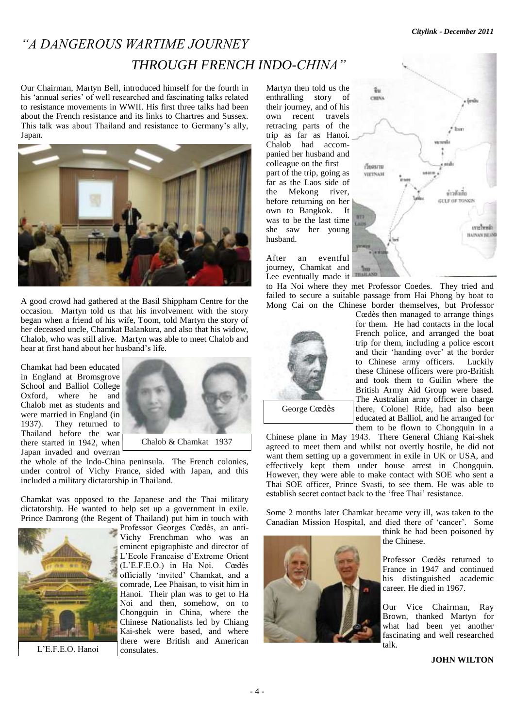# *"A DANGEROUS WARTIME JOURNEY THROUGH FRENCH INDO-CHINA"*

Our Chairman, Martyn Bell, introduced himself for the fourth in his 'annual series' of well researched and fascinating talks related to resistance movements in WWII. His first three talks had been about the French resistance and its links to Chartres and Sussex. This talk was about Thailand and resistance to Germany's ally, Japan.



A good crowd had gathered at the Basil Shippham Centre for the occasion. Martyn told us that his involvement with the story began when a friend of his wife, Toom, told Martyn the story of her deceased uncle, Chamkat Balankura, and also that his widow, Chalob, who was still alive. Martyn was able to meet Chalob and hear at first hand about her husband's life.

Chamkat had been educated in England at Bromsgrove School and Balliol College Oxford, where he and Chalob met as students and were married in England (in 1937). They returned to Thailand before the war there started in 1942, when Japan invaded and overran



the whole of the Indo-China peninsula. The French colonies, under control of Vichy France, sided with Japan, and this included a military dictatorship in Thailand.

Chamkat was opposed to the Japanese and the Thai military dictatorship. He wanted to help set up a government in exile. Prince Damrong (the Regent of Thailand) put him in touch with



Professor Georges Cœdès, an anti-Vichy Frenchman who was an eminent epigraphiste and director of L'Ecole Francaise d'Extreme Orient (L'E.F.E.O.) in Ha Noi. Cœdès officially 'invited' Chamkat, and a comrade, Lee Phaisan, to visit him in Hanoi. Their plan was to get to Ha Noi and then, somehow, on to Chongquin in China, where the Chinese Nationalists led by Chiang Kai-shek were based, and where there were British and American consulates.

Martyn then told us the enthralling story of their journey, and of his own recent travels retracing parts of the trip as far as Hanoi. Chalob had accompanied her husband and colleague on the first part of the trip, going as far as the Laos side of the Mekong river, before returning on her own to Bangkok. It was to be the last time she saw her young husband.

After an eventful journey, Chamkat and Lee eventually made it





Cœdès then managed to arrange things for them. He had contacts in the local French police, and arranged the boat trip for them, including a police escort and their 'handing over' at the border to Chinese army officers. Luckily these Chinese officers were pro-British and took them to Guilin where the British Army Aid Group were based. The Australian army officer in charge there, Colonel Ride, had also been educated at Balliol, and he arranged for them to be flown to Chongquin in a

Chinese plane in May 1943. There General Chiang Kai-shek agreed to meet them and whilst not overtly hostile, he did not want them setting up a government in exile in UK or USA, and effectively kept them under house arrest in Chongquin. However, they were able to make contact with SOE who sent a Thai SOE officer, Prince Svasti, to see them. He was able to establish secret contact back to the 'free Thai' resistance.

Some 2 months later Chamkat became very ill, was taken to the Canadian Mission Hospital, and died there of 'cancer'. Some



think he had been poisoned by the Chinese.

Professor Cœdès returned to France in 1947 and continued his distinguished academic career. He died in 1967.

Our Vice Chairman, Ray Brown, thanked Martyn for what had been yet another fascinating and well researched talk.

#### **JOHN WILTON**

 $\frac{d}{dt}$ CHINA , šmů бении VIETNAM ห่าวดันกิ้ย GULF OF TONKIN **BYL2** Laza une book **HAINAN BELD**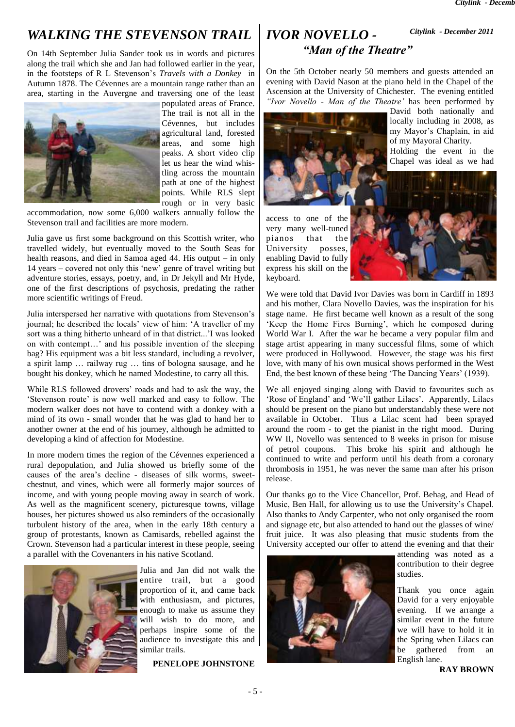# *WALKING THE STEVENSON TRAIL*

On 14th September Julia Sander took us in words and pictures along the trail which she and Jan had followed earlier in the year, in the footsteps of R L Stevenson's *Travels with a Donkey* in Autumn 1878. The Cévennes are a mountain range rather than an area, starting in the Auvergne and traversing one of the least



populated areas of France. The trail is not all in the Cévennes, but includes agricultural land, forested areas, and some high peaks. A short video clip let us hear the wind whistling across the mountain path at one of the highest points. While RLS slept rough or in very basic

accommodation, now some 6,000 walkers annually follow the Stevenson trail and facilities are more modern.

Julia gave us first some background on this Scottish writer, who travelled widely, but eventually moved to the South Seas for health reasons, and died in Samoa aged 44. His output – in only 14 years – covered not only this 'new' genre of travel writing but adventure stories, essays, poetry, and, in Dr Jekyll and Mr Hyde, one of the first descriptions of psychosis, predating the rather more scientific writings of Freud.

Julia interspersed her narrative with quotations from Stevenson's journal; he described the locals' view of him: 'A traveller of my sort was a thing hitherto unheard of in that district...'I was looked on with contempt…' and his possible invention of the sleeping bag? His equipment was a bit less standard, including a revolver, a spirit lamp … railway rug … tins of bologna sausage, and he bought his donkey, which he named Modestine, to carry all this.

While RLS followed drovers' roads and had to ask the way, the 'Stevenson route' is now well marked and easy to follow. The modern walker does not have to contend with a donkey with a mind of its own - small wonder that he was glad to hand her to another owner at the end of his journey, although he admitted to developing a kind of affection for Modestine.

In more modern times the region of the Cévennes experienced a rural depopulation, and Julia showed us briefly some of the causes of the area's decline - diseases of silk worms, sweetchestnut, and vines, which were all formerly major sources of income, and with young people moving away in search of work. As well as the magnificent scenery, picturesque towns, village houses, her pictures showed us also reminders of the occasionally turbulent history of the area, when in the early 18th century a group of protestants, known as Camisards, rebelled against the Crown. Stevenson had a particular interest in these people, seeing a parallel with the Covenanters in his native Scotland.



Julia and Jan did not walk the entire trail, but a good proportion of it, and came back with enthusiasm, and pictures, enough to make us assume they will wish to do more, and perhaps inspire some of the audience to investigate this and similar trails.

**PENELOPE JOHNSTONE**

#### *IVOR NOVELLO - "Man of the Theatre" Citylink - December 2011*

On the 5th October nearly 50 members and guests attended an evening with David Nason at the piano held in the Chapel of the Ascension at the University of Chichester. The evening entitled *"Ivor Novello - Man of the Theatre'* has been performed by



David both nationally and locally including in 2008, as my Mayor's Chaplain, in aid of my Mayoral Charity.

Holding the event in the Chapel was ideal as we had

access to one of the very many well-tuned pianos that the University posses, enabling David to fully express his skill on the keyboard.



We were told that David Ivor Davies was born in Cardiff in 1893 and his mother, Clara Novello Davies, was the inspiration for his stage name. He first became well known as a result of the song 'Keep the Home Fires Burning', which he composed during World War I. After the war he became a very popular film and stage artist appearing in many successful films, some of which were produced in Hollywood. However, the stage was his first love, with many of his own musical shows performed in the West End, the best known of these being 'The Dancing Years' (1939).

We all enjoyed singing along with David to favourites such as 'Rose of England' and 'We'll gather Lilacs'. Apparently, Lilacs should be present on the piano but understandably these were not available in October. Thus a Lilac scent had been sprayed around the room - to get the pianist in the right mood. During WW II, Novello was sentenced to 8 weeks in prison for misuse of petrol coupons. This broke his spirit and although he continued to write and perform until his death from a coronary thrombosis in 1951, he was never the same man after his prison release.

Our thanks go to the Vice Chancellor, Prof. Behag, and Head of Music, Ben Hall, for allowing us to use the University's Chapel. Also thanks to Andy Carpenter, who not only organised the room and signage etc, but also attended to hand out the glasses of wine/ fruit juice. It was also pleasing that music students from the University accepted our offer to attend the evening and that their



attending was noted as a contribution to their degree studies.

Thank you once again David for a very enjoyable evening. If we arrange a similar event in the future we will have to hold it in the Spring when Lilacs can be gathered from an English lane.

**RAY BROWN**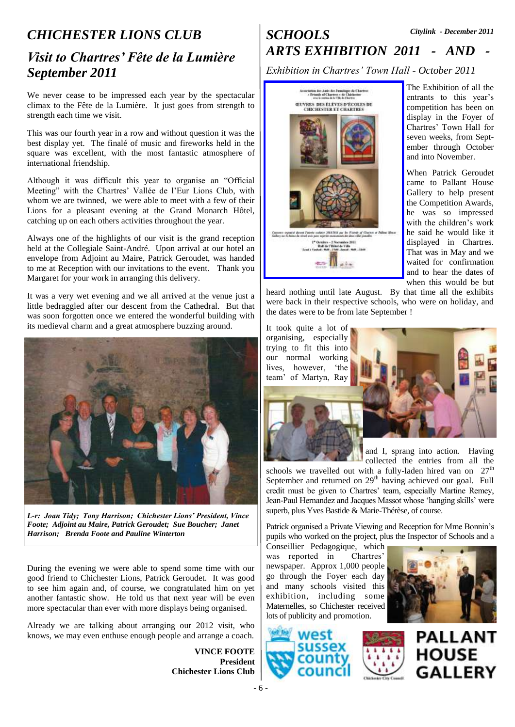# *CHICHESTER LIONS CLUB Visit to Chartres' Fête de la Lumière September 2011*

We never cease to be impressed each year by the spectacular climax to the Fête de la Lumière. It just goes from strength to strength each time we visit.

This was our fourth year in a row and without question it was the best display yet. The finalé of music and fireworks held in the square was excellent, with the most fantastic atmosphere of international friendship.

Although it was difficult this year to organise an "Official Meeting" with the Chartres' Vallée de l'Eur Lions Club, with whom we are twinned, we were able to meet with a few of their Lions for a pleasant evening at the Grand Monarch Hôtel, catching up on each others activities throughout the year.

Always one of the highlights of our visit is the grand reception held at the Collegiale Saint-André. Upon arrival at our hotel an envelope from Adjoint au Maire, Patrick Geroudet, was handed to me at Reception with our invitations to the event. Thank you Margaret for your work in arranging this delivery.

It was a very wet evening and we all arrived at the venue just a little bedraggled after our descent from the Cathedral. But that was soon forgotten once we entered the wonderful building with its medieval charm and a great atmosphere buzzing around.



*L-r: Joan Tidy; Tony Harrison; Chichester Lions' President, Vince Foote; Adjoint au Maire, Patrick Geroudet; Sue Boucher; Janet Harrison; Brenda Foote and Pauline Winterton*

During the evening we were able to spend some time with our good friend to Chichester Lions, Patrick Geroudet. It was good to see him again and, of course, we congratulated him on yet another fantastic show. He told us that next year will be even more spectacular than ever with more displays being organised.

Already we are talking about arranging our 2012 visit, who knows, we may even enthuse enough people and arrange a coach.

> **VINCE FOOTE President Chichester Lions Club**

#### *SCHOOLS ARTS EXHIBITION 2011 - AND - Citylink - December 2011*

*Exhibition in Chartres' Town Hall - October 2011*



The Exhibition of all the entrants to this year's competition has been on display in the Foyer of Chartres' Town Hall for seven weeks, from September through October and into November.

When Patrick Geroudet came to Pallant House Gallery to help present the Competition Awards, he was so impressed with the children's work he said he would like it displayed in Chartres. That was in May and we waited for confirmation and to hear the dates of when this would be but

heard nothing until late August. By that time all the exhibits were back in their respective schools, who were on holiday, and the dates were to be from late September !

It took quite a lot of organising, especially trying to fit this into our normal working lives, however, 'the team' of Martyn, Ray



and I, sprang into action. Having collected the entries from all the

schools we travelled out with a fully-laden hired van on  $27<sup>th</sup>$ September and returned on  $29<sup>th</sup>$  having achieved our goal. Full credit must be given to Chartres' team, especially Martine Remey, Jean-Paul Hernandez and Jacques Massot whose 'hanging skills' were superb, plus Yves Bastide & Marie-Thérèse, of course.

Patrick organised a Private Viewing and Reception for Mme Bonnin's pupils who worked on the project, plus the Inspector of Schools and a

Conseillier Pedagogique, which was reported in Chartres' newspaper. Approx 1,000 people go through the Foyer each day and many schools visited this exhibition, including some Maternelles, so Chichester received lots of publicity and promotion.







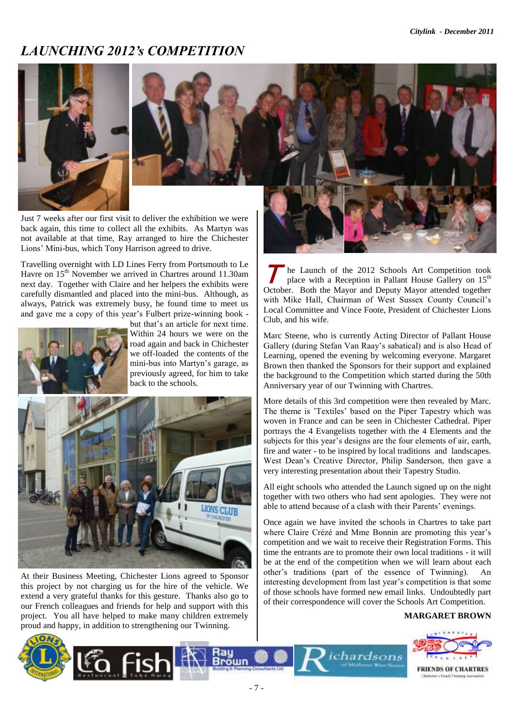## *LAUNCHING 2012's COMPETITION*





Just 7 weeks after our first visit to deliver the exhibition we were back again, this time to collect all the exhibits. As Martyn was not available at that time, Ray arranged to hire the Chichester Lions' Mini-bus, which Tony Harrison agreed to drive.

Travelling overnight with LD Lines Ferry from Portsmouth to Le Havre on 15<sup>th</sup> November we arrived in Chartres around 11.30am next day. Together with Claire and her helpers the exhibits were carefully dismantled and placed into the mini-bus. Although, as always, Patrick was extremely busy, he found time to meet us and gave me a copy of this year's Fulbert prize-winning book -



but that's an article for next time. Within 24 hours we were on the road again and back in Chichester we off-loaded the contents of the mini-bus into Martyn's garage, as previously agreed, for him to take back to the schools.



At their Business Meeting, Chichester Lions agreed to Sponsor this project by not charging us for the hire of the vehicle. We extend a very grateful thanks for this gesture. Thanks also go to our French colleagues and friends for help and support with this project. You all have helped to make many children extremely proud and happy, in addition to strengthening our Twinning.

 $\mathcal{T}$ he Launch of the 2012 Schools Art Competition took place with a Reception in Pallant House Gallery on 15<sup>th</sup> October. Both the Mayor and Deputy Mayor attended together with Mike Hall, Chairman of West Sussex County Council's Local Committee and Vince Foote, President of Chichester Lions Club, and his wife.

Marc Steene, who is currently Acting Director of Pallant House Gallery (during Stefan Van Raay's sabatical) and is also Head of Learning, opened the evening by welcoming everyone. Margaret Brown then thanked the Sponsors for their support and explained the background to the Competition which started during the 50th Anniversary year of our Twinning with Chartres.

More details of this 3rd competition were then revealed by Marc. The theme is 'Textiles' based on the Piper Tapestry which was woven in France and can be seen in Chichester Cathedral. Piper portrays the 4 Evangelists together with the 4 Elements and the subjects for this year's designs are the four elements of air, earth, fire and water - to be inspired by local traditions and landscapes. West Dean's Creative Director, Philip Sanderson, then gave a very interesting presentation about their Tapestry Studio.

All eight schools who attended the Launch signed up on the night together with two others who had sent apologies. They were not able to attend because of a clash with their Parents' evenings.

Once again we have invited the schools in Chartres to take part where Claire Crézé and Mme Bonnin are promoting this year's competition and we wait to receive their Registration Forms. This time the entrants are to promote their own local traditions - it will be at the end of the competition when we will learn about each other's traditions (part of the essence of Twinning). An interesting development from last year's competition is that some of those schools have formed new email links. Undoubtedly part of their correspondence will cover the Schools Art Competition.

ichardsons

#### **MARGARET BROWN**